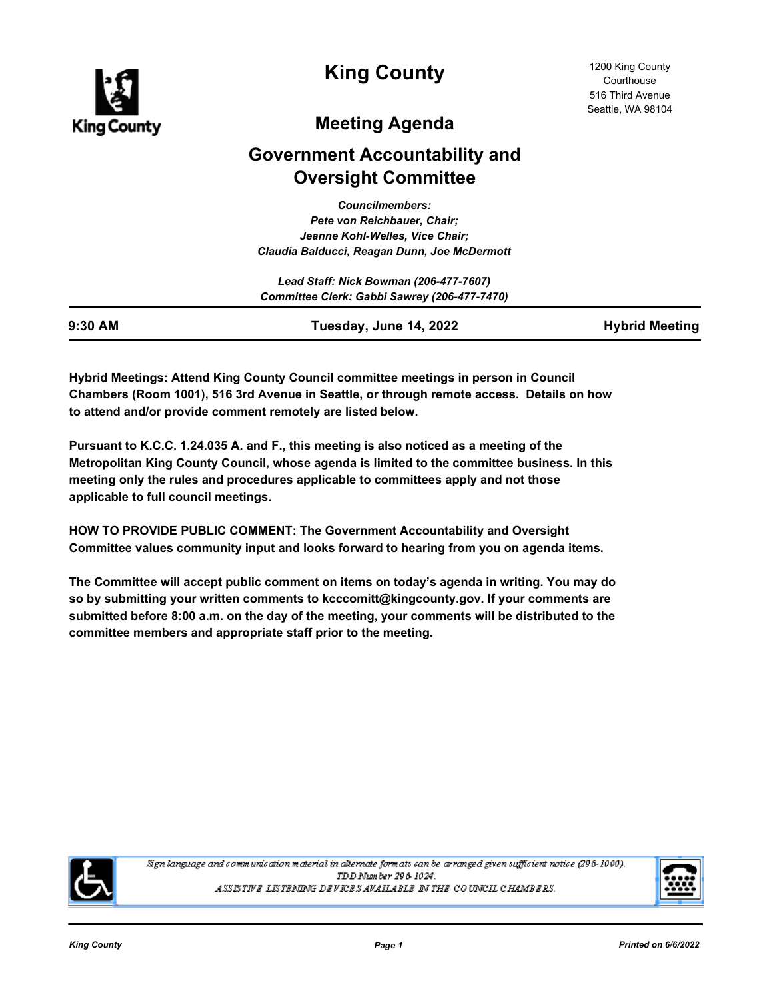

**King County**

1200 King County Courthouse 516 Third Avenue Seattle, WA 98104

# **Meeting Agenda**

# **Government Accountability and Oversight Committee**

*Councilmembers: Pete von Reichbauer, Chair; Jeanne Kohl-Welles, Vice Chair; Claudia Balducci, Reagan Dunn, Joe McDermott*

| Lead Staff: Nick Bowman (206-477-7607)       |  |
|----------------------------------------------|--|
| Committee Clerk: Gabbi Sawrey (206-477-7470) |  |

| 9:30 AM | Tuesday, June 14, 2022 | <b>Hybrid Meeting</b> |
|---------|------------------------|-----------------------|

**Hybrid Meetings: Attend King County Council committee meetings in person in Council Chambers (Room 1001), 516 3rd Avenue in Seattle, or through remote access. Details on how to attend and/or provide comment remotely are listed below.**

**Pursuant to K.C.C. 1.24.035 A. and F., this meeting is also noticed as a meeting of the Metropolitan King County Council, whose agenda is limited to the committee business. In this meeting only the rules and procedures applicable to committees apply and not those applicable to full council meetings.**

**HOW TO PROVIDE PUBLIC COMMENT: The Government Accountability and Oversight Committee values community input and looks forward to hearing from you on agenda items.**

**The Committee will accept public comment on items on today's agenda in writing. You may do so by submitting your written comments to kcccomitt@kingcounty.gov. If your comments are submitted before 8:00 a.m. on the day of the meeting, your comments will be distributed to the committee members and appropriate staff prior to the meeting.**



Sign language and communication material in alternate formats can be arranged given sufficient notice (296-1000). TDD Number 296-1024. ASSISTIVE LISTENING DEVICES AVAILABLE IN THE COUNCIL CHAMBERS.

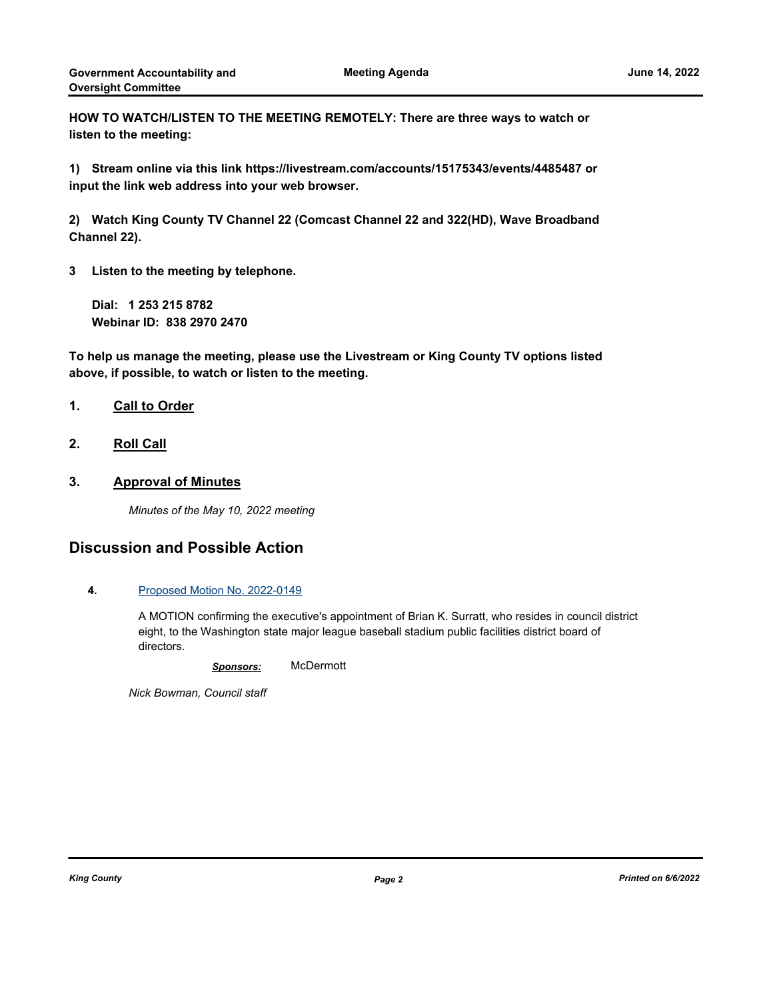**HOW TO WATCH/LISTEN TO THE MEETING REMOTELY: There are three ways to watch or listen to the meeting:**

**1) Stream online via this link https://livestream.com/accounts/15175343/events/4485487 or input the link web address into your web browser.**

**2) Watch King County TV Channel 22 (Comcast Channel 22 and 322(HD), Wave Broadband Channel 22).**

**3 Listen to the meeting by telephone.**

**Dial: 1 253 215 8782 Webinar ID: 838 2970 2470**

**To help us manage the meeting, please use the Livestream or King County TV options listed above, if possible, to watch or listen to the meeting.**

### **1. Call to Order**

**2. Roll Call**

### **3. Approval of Minutes**

*Minutes of the May 10, 2022 meeting*

# **Discussion and Possible Action**

### **4.** [Proposed Motion No. 2022-0149](http://kingcounty.legistar.com/gateway.aspx?m=l&id=/matter.aspx?key=23011)

A MOTION confirming the executive's appointment of Brian K. Surratt, who resides in council district eight, to the Washington state major league baseball stadium public facilities district board of directors.

*Sponsors:* McDermott

*Nick Bowman, Council staff*